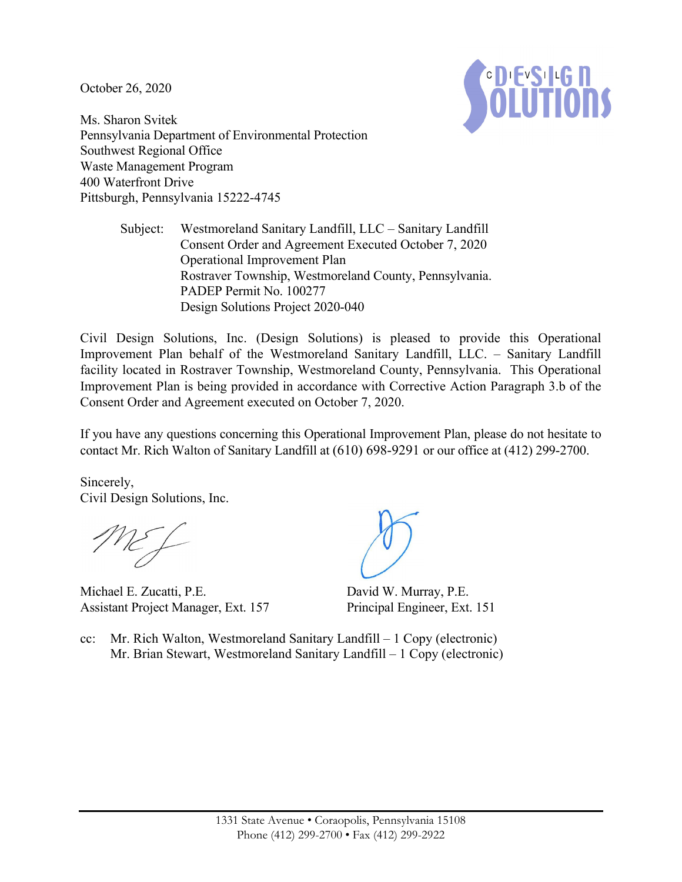October 26, 2020



Ms. Sharon Svitek Pennsylvania Department of Environmental Protection Southwest Regional Office Waste Management Program 400 Waterfront Drive Pittsburgh, Pennsylvania 15222-4745

> Subject: Westmoreland Sanitary Landfill, LLC – Sanitary Landfill Consent Order and Agreement Executed October 7, 2020 Operational Improvement Plan Rostraver Township, Westmoreland County, Pennsylvania. PADEP Permit No. 100277 Design Solutions Project 2020-040

Civil Design Solutions, Inc. (Design Solutions) is pleased to provide this Operational Improvement Plan behalf of the Westmoreland Sanitary Landfill, LLC. – Sanitary Landfill facility located in Rostraver Township, Westmoreland County, Pennsylvania. This Operational Improvement Plan is being provided in accordance with Corrective Action Paragraph 3.b of the Consent Order and Agreement executed on October 7, 2020.

If you have any questions concerning this Operational Improvement Plan, please do not hesitate to contact Mr. Rich Walton of Sanitary Landfill at (610) 698-9291 or our office at (412) 299-2700.

Sincerely, Civil Design Solutions, Inc.

Michael E. Zucatti, P.E. Assistant Project Manager, Ext. 157

David W. Murray, P.E. Principal Engineer, Ext. 151

cc: Mr. Rich Walton, Westmoreland Sanitary Landfill – 1 Copy (electronic) Mr. Brian Stewart, Westmoreland Sanitary Landfill – 1 Copy (electronic)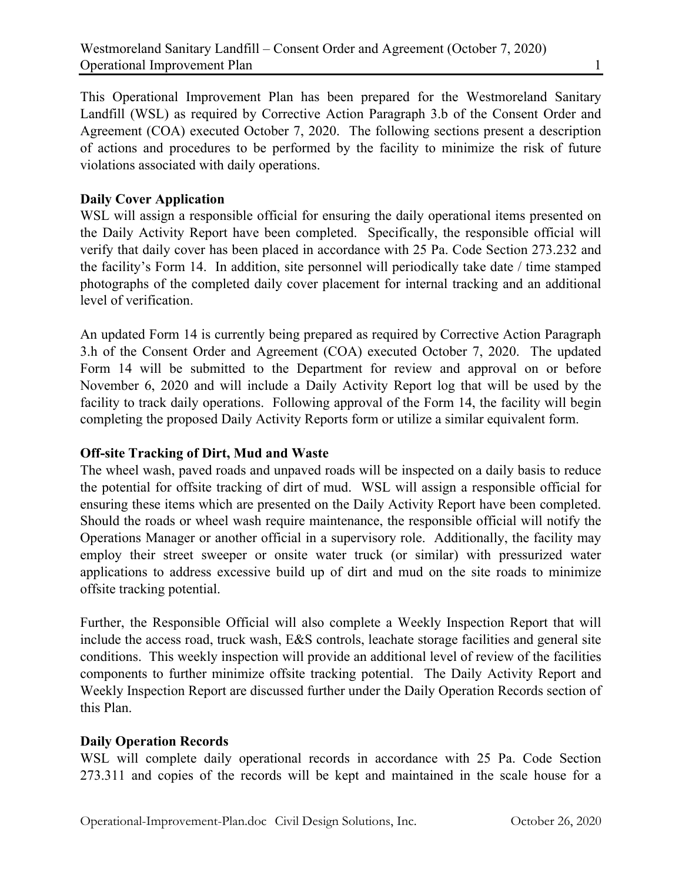This Operational Improvement Plan has been prepared for the Westmoreland Sanitary Landfill (WSL) as required by Corrective Action Paragraph 3.b of the Consent Order and Agreement (COA) executed October 7, 2020. The following sections present a description of actions and procedures to be performed by the facility to minimize the risk of future violations associated with daily operations.

## **Daily Cover Application**

WSL will assign a responsible official for ensuring the daily operational items presented on the Daily Activity Report have been completed. Specifically, the responsible official will verify that daily cover has been placed in accordance with 25 Pa. Code Section 273.232 and the facility's Form 14. In addition, site personnel will periodically take date / time stamped photographs of the completed daily cover placement for internal tracking and an additional level of verification.

An updated Form 14 is currently being prepared as required by Corrective Action Paragraph 3.h of the Consent Order and Agreement (COA) executed October 7, 2020. The updated Form 14 will be submitted to the Department for review and approval on or before November 6, 2020 and will include a Daily Activity Report log that will be used by the facility to track daily operations. Following approval of the Form 14, the facility will begin completing the proposed Daily Activity Reports form or utilize a similar equivalent form.

## **Off-site Tracking of Dirt, Mud and Waste**

The wheel wash, paved roads and unpaved roads will be inspected on a daily basis to reduce the potential for offsite tracking of dirt of mud. WSL will assign a responsible official for ensuring these items which are presented on the Daily Activity Report have been completed. Should the roads or wheel wash require maintenance, the responsible official will notify the Operations Manager or another official in a supervisory role. Additionally, the facility may employ their street sweeper or onsite water truck (or similar) with pressurized water applications to address excessive build up of dirt and mud on the site roads to minimize offsite tracking potential.

Further, the Responsible Official will also complete a Weekly Inspection Report that will include the access road, truck wash, E&S controls, leachate storage facilities and general site conditions. This weekly inspection will provide an additional level of review of the facilities components to further minimize offsite tracking potential. The Daily Activity Report and Weekly Inspection Report are discussed further under the Daily Operation Records section of this Plan.

## **Daily Operation Records**

WSL will complete daily operational records in accordance with 25 Pa. Code Section 273.311 and copies of the records will be kept and maintained in the scale house for a